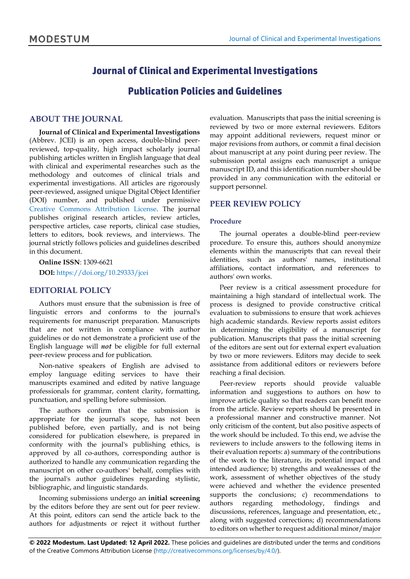# **Journal of Clinical and Experimental Investigations**

# **Publication Policies and Guidelines**

# **ABOUT THE JOURNAL**

**Journal of Clinical and Experimental Investigations** (Abbrev. JCEI) is an open access, double-blind peerreviewed, top-quality, high impact scholarly journal publishing articles written in English language that deal with clinical and experimental researches such as the methodology and outcomes of clinical trials and experimental investigations. All articles are rigorously peer-reviewed, assigned unique Digital Object Identifier (DOI) number, and published under permissive Creative Commons [Attribution](http://creativecommons.org/licenses/by/4.0/) License. The journal publishes original research articles, review articles, perspective articles, case reports, clinical case studies, letters to editors, book reviews, and interviews. The journal strictly follows policies and guidelines described in this document.

**Online ISSN**: 1309-6621 **DOI:** <https://doi.org/10.29333/jcei>

# **EDITORIAL POLICY**

Authors must ensure that the submission is free of linguistic errors and conforms to the journal's requirements for manuscript preparation. Manuscripts that are not written in compliance with author guidelines or do not demonstrate a proficient use of the English language will *not* be eligible for full external peer-review process and for publication.

Non-native speakers of English are advised to employ language editing services to have their manuscripts examined and edited by native language professionals for grammar, content clarity, formatting, punctuation, and spelling before submission.

The authors confirm that the submission is appropriate for the journal's scope, has not been published before, even partially, and is not being considered for publication elsewhere, is prepared in conformity with the journal's publishing ethics, is approved by all co-authors, corresponding author is authorized to handle any communication regarding the manuscript on other co-authors' behalf, complies with the journal's author guidelines regarding stylistic, bibliographic, and linguistic standards.

Incoming submissions undergo an **initial screening** by the editors before they are sent out for peer review. At this point, editors can send the article back to the authors for adjustments or reject it without further evaluation. Manuscripts that pass the initial screening is reviewed by two or more external reviewers. Editors may appoint additional reviewers, request minor or major revisions from authors, or commit a final decision about manuscript at any point during peer review. The submission portal assigns each manuscript a unique manuscript ID, and this identification number should be provided in any communication with the editorial or support personnel.

# **PEER REVIEW POLICY**

#### **Procedure**

The journal operates a double-blind peer-review procedure. To ensure this, authors should anonymize elements within the manuscripts that can reveal their identities, such as authors' names, institutional affiliations, contact information, and references to authors' own works.

Peer review is a critical assessment procedure for maintaining a high standard of intellectual work. The process is designed to provide constructive critical evaluation to submissions to ensure that work achieves high academic standards. Review reports assist editors in determining the eligibility of a manuscript for publication. Manuscripts that pass the initial screening of the editors are sent out for external expert evaluation by two or more reviewers. Editors may decide to seek assistance from additional editors or reviewers before reaching a final decision.

Peer-review reports should provide valuable information and suggestions to authors on how to improve article quality so that readers can benefit more from the article. Review reports should be presented in a professional manner and constructive manner. Not only criticism of the content, but also positive aspects of the work should be included. To this end, we advise the reviewers to include answers to the following items in their evaluation reports: a) summary of the contributions of the work to the literature, its potential impact and intended audience; b) strengths and weaknesses of the work, assessment of whether objectives of the study were achieved and whether the evidence presented supports the conclusions; c) recommendations to authors regarding methodology, findings and discussions, references, language and presentation, etc., along with suggested corrections; d) recommendations to editors on whether to request additional minor/major

**© 2022 Modestum. Last Updated: 12 April 2022.** These policies and guidelines are distributed under the terms and conditions of the Creative Commons Attribution License [\(http://creativecommons.org/licenses/by/4.0/\)](http://creativecommons.org/licenses/by/4.0/).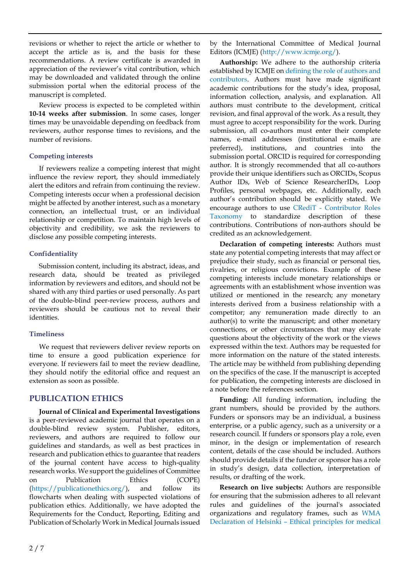revisions or whether to reject the article or whether to accept the article as is, and the basis for these recommendations. A review certificate is awarded in appreciation of the reviewer's vital contribution, which may be downloaded and validated through the online submission portal when the editorial process of the manuscript is completed.

Review process is expected to be completed within **10-14 weeks after submission**. In some cases, longer times may be unavoidable depending on feedback from reviewers, author response times to revisions, and the number of revisions.

#### **Competing interests**

If reviewers realize a competing interest that might influence the review report, they should immediately alert the editors and refrain from continuing the review. Competing interests occur when a professional decision might be affected by another interest, such as a monetary connection, an intellectual trust, or an individual relationship or competition. To maintain high levels of objectivity and credibility, we ask the reviewers to disclose any possible competing interests.

# **Confidentiality**

Submission content, including its abstract, ideas, and research data, should be treated as privileged information by reviewers and editors, and should not be shared with any third parties or used personally. As part of the double-blind peer-review process, authors and reviewers should be cautious not to reveal their identities.

# **Timeliness**

We request that reviewers deliver review reports on time to ensure a good publication experience for everyone. If reviewers fail to meet the review deadline, they should notify the editorial office and request an extension as soon as possible.

# **PUBLICATION ETHICS**

**Journal of Clinical and Experimental Investigations** is a peer-reviewed academic journal that operates on a double-blind review system. Publisher, editors, reviewers, and authors are required to follow our guidelines and standards, as well as best practices in research and publication ethics to guarantee that readers of the journal content have access to high-quality research works. We support the guidelines of Committee on Publication Ethics (COPE) [\(https://publicationethics.org/\)](https://publicationethics.org/), and follow its flowcharts when dealing with suspected violations of publication ethics. Additionally, we have adopted the Requirements for the Conduct, Reporting, Editing and Publication of Scholarly Work in Medical Journals issued

by the International Committee of Medical Journal Editors (ICMJE) [\(http://www.icmje.org/\)](http://www.icmje.org/).

**Authorship:** We adhere to the authorship criteria established by ICMJE on [defining](https://www.icmje.org/recommendations/browse/roles-and-responsibilities/defining-the-role-of-authors-and-contributors.html) the role of authors and [contributors.](https://www.icmje.org/recommendations/browse/roles-and-responsibilities/defining-the-role-of-authors-and-contributors.html) Authors must have made significant academic contributions for the study's idea, proposal, information collection, analysis, and explanation. All authors must contribute to the development, critical revision, and final approval of the work. As a result, they must agree to accept responsibility for the work. During submission, all co-authors must enter their complete names, e-mail addresses (institutional e-mails are preferred), institutions, and countries into the submission portal. ORCID is required for corresponding author. It is strongly recommended that all co-authors provide their unique identifiers such as ORCIDs, Scopus Author IDs, Web of Science ResearcherIDs, Loop Profiles, personal webpages, etc. Additionally, each author's contribution should be explicitly stated. We encourage authors to use CRediT - [Contributor Roles](https://credit.niso.org/)  [Taxonomy](https://credit.niso.org/) to standardize description of these contributions. Contributions of non-authors should be credited as an acknowledgement.

**Declaration of competing interests:** Authors must state any potential competing interests that may affect or prejudice their study, such as financial or personal ties, rivalries, or religious convictions. Example of these competing interests include monetary relationships or agreements with an establishment whose invention was utilized or mentioned in the research; any monetary interests derived from a business relationship with a competitor; any remuneration made directly to an author(s) to write the manuscript; and other monetary connections, or other circumstances that may elevate questions about the objectivity of the work or the views expressed within the text. Authors may be requested for more information on the nature of the stated interests. The article may be withheld from publishing depending on the specifics of the case. If the manuscript is accepted for publication, the competing interests are disclosed in a note before the references section.

**Funding:** All funding information, including the grant numbers, should be provided by the authors. Funders or sponsors may be an individual, a business enterprise, or a public agency, such as a university or a research council. If funders or sponsors play a role, even minor, in the design or implementation of research content, details of the case should be included. Authors should provide details if the funder or sponsor has a role in study's design, data collection, interpretation of results, or drafting of the work.

**Research on live subjects:** Authors are responsible for ensuring that the submission adheres to all relevant rules and guidelines of the journal's associated organizations and regulatory frames, such as [WMA](https://www.wma.net/policies-post/wma-declaration-of-helsinki-ethical-principles-for-medical-research-involving-human-subjects/) [Declaration](https://www.wma.net/policies-post/wma-declaration-of-helsinki-ethical-principles-for-medical-research-involving-human-subjects/) of Helsinki – Ethical principles for medical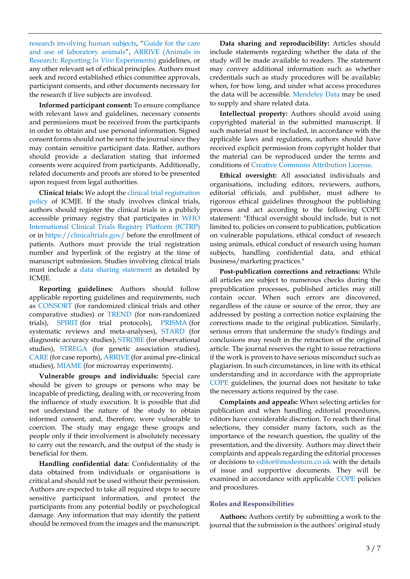research [involving](https://www.wma.net/policies-post/wma-declaration-of-helsinki-ethical-principles-for-medical-research-involving-human-subjects/) human subjects, "[Guide](https://www.nap.edu/catalog/5140/) for the care and use of [laboratory](https://www.nap.edu/catalog/5140/) animals", [ARRIVE \(Animals in](https://arriveguidelines.org/)  [Research: Reporting](https://arriveguidelines.org/) *In Vivo* Experiments) guidelines, or any other relevant set of ethical principles. Authors must seek and record established ethics committee approvals, participant consents, and other documents necessary for the research if live subjects are involved.

**Informed participant consent:** To ensure compliance with relevant laws and guidelines, necessary consents and permissions must be received from the participants in order to obtain and use personal information. Signed consent forms should not be sent to the journal since they may contain sensitive participant data. Rather, authors should provide a declaration stating that informed consents were acquired from participants. Additionally, related documents and proofs are stored to be presented upon request from legal authorities.

**Clinical trials:** We adopt the [clinical trial registration](https://www.icmje.org/recommendations/browse/publishing-and-editorial-issues/clinical-trial-registration.html)  [policy o](https://www.icmje.org/recommendations/browse/publishing-and-editorial-issues/clinical-trial-registration.html)f ICMJE. If the study involves clinical trials, authors should register the clinical trials in a publicly accessible primary registry that participates in [WHO](https://www.who.int/clinical-trials-registry-platform) [International](https://www.who.int/clinical-trials-registry-platform) Clinical Trials Registry Platform (ICTRP) or in <https://clinicaltrials.gov/> before the enrollment of patients. Authors must provide the trial registration number and hyperlink of the registry at the time of manuscript submission. Studies involving clinical trials must include a [data sharing statement](https://www.icmje.org/recommendations/browse/publishing-and-editorial-issues/clinical-trial-registration.html#two) as detailed by ICMJE.

**Reporting guidelines:** Authors should follow applicable reporting guidelines and requirements, such as [CONSORT](http://www.consort-statement.org/) (for randomized clinical trials and other comparative studies) or [TREND](https://www.cdc.gov/trendstatement/) (for non-randomized trials), [SPIRIT](https://www.spirit-statement.org/) (for trial protocols), [PRISMA](http://prisma-statement.org/) (for systematic reviews and meta-analyses), [STARD](https://www.equator-network.org/reporting-guidelines/stard/) (for diagnostic accuracy studies)[, STROBE](https://www.equator-network.org/reporting-guidelines/strobe/) (for observational studies), [STREGA](https://www.equator-network.org/reporting-guidelines/strobe-strega/) (for genetic association studies), [CARE](https://www.care-statement.org/) (for case reports)[, ARRIVE](https://arriveguidelines.org/arrive-guidelines) (for animal pre-clinical studies), [MIAME](http://fged.org/projects/miame/) (for microarray experiments).

**Vulnerable groups and individuals:** Special care should be given to groups or persons who may be incapable of predicting, dealing with, or recovering from the influence of study execution. It is possible that did not understand the nature of the study to obtain informed consent, and, therefore, were vulnerable to coercion. The study may engage these groups and people only if their involvement is absolutely necessary to carry out the research, and the output of the study is beneficial for them.

**Handling confidential data:** Confidentiality of the data obtained from individuals or organisations is critical and should not be used without their permission. Authors are expected to take all required steps to secure sensitive participant information, and protect the participants from any potential bodily or psychological damage. Any information that may identify the patient should be removed from the images and the manuscript.

**Data sharing and reproducibility:** Articles should include statements regarding whether the data of the study will be made available to readers. The statement may convey additional information such as whether credentials such as study procedures will be available; when, for how long, and under what access procedures the data will be accessible. [Mendeley](https://data.mendeley.com/) Data may be used to supply and share related data.

**Intellectual property:** Authors should avoid using copyrighted material in the submitted manuscript. If such material must be included, in accordance with the applicable laws and regulations, authors should have received explicit permission from copyright holder that the material can be reproduced under the terms and conditions of Creative Commons [Attribution](https://creativecommons.org/licenses/by/4.0/) License.

**Ethical oversight:** All associated individuals and organisations, including editors, reviewers, authors, editorial officials, and publisher, must adhere to rigorous ethical guidelines throughout the publishing process and act according to the following COPE statement: "Ethical oversight should include, but is not limited to, policies on consent to publication, publication on vulnerable populations, ethical conduct of research using animals, ethical conduct of research using human subjects, handling confidential data, and ethical business/marketing practices."

**Post-publication corrections and retractions:** While all articles are subject to numerous checks during the prepublication processes, published articles may still contain occur. When such errors are discovered, regardless of the cause or source of the error, they are addressed by posting a correction notice explaining the corrections made to the original publication. Similarly, serious errors that undermine the study's findings and conclusions may result in the retraction of the original article. The journal reserves the right to issue retractions if the work is proven to have serious misconduct such as plagiarism. In such circumstances, in line with its ethical understanding and in accordance with the appropriate [COPE](https://publicationethics.org/) guidelines, the journal does not hesitate to take the necessary actions required by the case.

**Complaints and appeals:** When selecting articles for publication and when handling editorial procedures, editors have considerable discretion. To reach their final selections, they consider many factors, such as the importance of the research question, the quality of the presentation, and the diversity. Authors may direct their complaints and appeals regarding the editorial processes or decisions to [editor@modestum.co.uk](mailto:editor@modestum.co.uk) with the details of issue and supportive documents. They will be examined in accordance with applicable [COPE](https://publicationethics.org/) policies and procedures.

#### **Roles and Responsibilities**

**Authors:** Authors certify by submitting a work to the journal that the submission is the authors' original study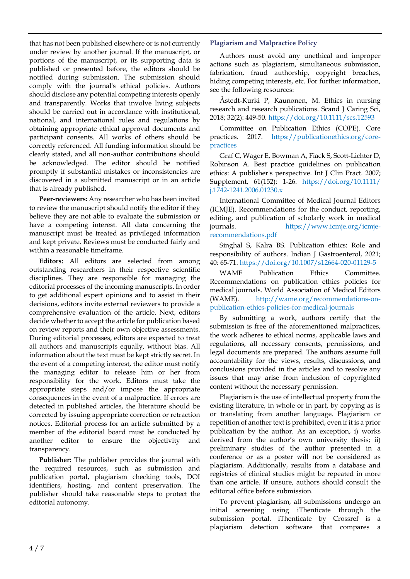that has not been published elsewhere or is not currently under review by another journal. If the manuscript, or portions of the manuscript, or its supporting data is published or presented before, the editors should be notified during submission. The submission should comply with the journal's ethical policies. Authors should disclose any potential competing interests openly and transparently. Works that involve living subjects should be carried out in accordance with institutional, national, and international rules and regulations by obtaining appropriate ethical approval documents and participant consents. All works of others should be correctly referenced. All funding information should be clearly stated, and all non-author contributions should be acknowledged. The editor should be notified promptly if substantial mistakes or inconsistencies are discovered in a submitted manuscript or in an article that is already published.

**Peer-reviewers:** Any researcher who has been invited to review the manuscript should notify the editor if they believe they are not able to evaluate the submission or have a competing interest. All data concerning the manuscript must be treated as privileged information and kept private. Reviews must be conducted fairly and within a reasonable timeframe.

**Editors:** All editors are selected from among outstanding researchers in their respective scientific disciplines. They are responsible for managing the editorial processes of the incoming manuscripts. In order to get additional expert opinions and to assist in their decisions, editors invite external reviewers to provide a comprehensive evaluation of the article. Next, editors decide whether to accept the article for publication based on review reports and their own objective assessments. During editorial processes, editors are expected to treat all authors and manuscripts equally, without bias. All information about the text must be kept strictly secret. In the event of a competing interest, the editor must notify the managing editor to release him or her from responsibility for the work. Editors must take the appropriate steps and/or impose the appropriate consequences in the event of a malpractice. If errors are detected in published articles, the literature should be corrected by issuing appropriate correction or retraction notices. Editorial process for an article submitted by a member of the editorial board must be conducted by another editor to ensure the objectivity and transparency.

**Publisher:** The publisher provides the journal with the required resources, such as submission and publication portal, plagiarism checking tools, DOI identifiers, hosting, and content preservation. The publisher should take reasonable steps to protect the editorial autonomy.

# **Plagiarism and Malpractice Policy**

Authors must avoid any unethical and improper actions such as plagiarism, simultaneous submission, fabrication, fraud authorship, copyright breaches, hiding competing interests, etc. For further information, see the following resources:

Åstedt-Kurki P, Kaunonen, M. Ethics in nursing research and research publications. Scand J Caring Sci, 2018; 32(2): 449-50. <https://doi.org/10.1111/scs.12593>

Committee on Publication Ethics (COPE). Core practices. 2017. [https://publicationethics.org/core](https://publicationethics.org/core-practices)[practices](https://publicationethics.org/core-practices)

Graf C, Wager E, Bowman A, Fiack S, Scott-Lichter D, Robinson A. Best practice guidelines on publication ethics: A publisher's perspective. Int J Clin Pract. 2007; Supplement, 61(152): 1-26. [https://doi.org/10.1111/](https://doi.org/10.1111/j.1742-1241.2006.01230.x) [j.1742-1241.2006.01230.x](https://doi.org/10.1111/j.1742-1241.2006.01230.x)

International Committee of Medical Journal Editors (ICMJE). Recommendations for the conduct, reporting, editing, and publication of scholarly work in medical journals. [https://www.icmje.org/icmje](https://www.icmje.org/icmje-recommendations.pdf)[recommendations.pdf](https://www.icmje.org/icmje-recommendations.pdf)

Singhal S, Kalra BS. Publication ethics: Role and responsibility of authors. Indian J Gastroenterol, 2021; 40: 65-71. <https://doi.org/10.1007/s12664-020-01129-5>

WAME Publication Ethics Committee. Recommendations on publication ethics policies for medical journals. World Association of Medical Editors (WAME). [http://wame.org/recommendations-on](http://wame.org/recommendations-on-publication-ethics-policies-for-medical-journals)[publication-ethics-policies-for-medical-journals](http://wame.org/recommendations-on-publication-ethics-policies-for-medical-journals)

By submitting a work, authors certify that the submission is free of the aforementioned malpractices, the work adheres to ethical norms, applicable laws and regulations, all necessary consents, permissions, and legal documents are prepared. The authors assume full accountability for the views, results, discussions, and conclusions provided in the articles and to resolve any issues that may arise from inclusion of copyrighted content without the necessary permission.

Plagiarism is the use of intellectual property from the existing literature, in whole or in part, by copying as is or translating from another language. Plagiarism or repetition of another text is prohibited, even if it is a prior publication by the author. As an exception, i) works derived from the author's own university thesis; ii) preliminary studies of the author presented in a conference or as a poster will not be considered as plagiarism. Additionally, results from a database and registries of clinical studies might be repeated in more than one article. If unsure, authors should consult the editorial office before submission.

To prevent plagiarism, all submissions undergo an initial screening using iThenticate through the submission portal. iThenticate by Crossref is a plagiarism detection software that compares a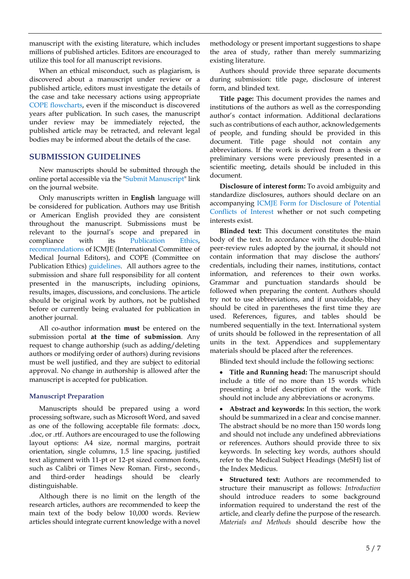manuscript with the existing literature, which includes millions of published articles. Editors are encouraged to utilize this tool for all manuscript revisions.

When an ethical misconduct, such as plagiarism, is discovered about a manuscript under review or a published article, editors must investigate the details of the case and take necessary actions using appropriate COPE [flowcharts,](https://publicationethics.org/guidance/Flowcharts) even if the misconduct is discovered years after publication. In such cases, the manuscript under review may be immediately rejected, the published article may be retracted, and relevant legal bodies may be informed about the details of the case.

# **SUBMISSION GUIDELINES**

New manuscripts should be submitted through the online portal accessible via the "Submit [Manuscript"](https://www.editorialpark.com/jcei) link on the journal website.

Only manuscripts written in **English** language will be considered for publication. Authors may use British or American English provided they are consistent throughout the manuscript. Submissions must be relevant to the journal's scope and prepared in compliance with its [Publication](https://www.jceionline.org/home/publication-ethics) Ethics, [recommendations](https://www.icmje.org/recommendations/) of ICMJE (International Committee of Medical Journal Editors), and COPE (Committee on Publication Ethics) [guidelines.](https://publicationethics.org/guidance/Guidelines) All authors agree to the submission and share full responsibility for all content presented in the manuscripts, including opinions, results, images, discussions, and conclusions. The article should be original work by authors, not be published before or currently being evaluated for publication in another journal.

All co-author information **must** be entered on the submission portal **at the time of submission**. Any request to change authorship (such as adding/deleting authors or modifying order of authors) during revisions must be well justified, and they are subject to editorial approval. No change in authorship is allowed after the manuscript is accepted for publication.

# **Manuscript Preparation**

Manuscripts should be prepared using a word processing software, such as Microsoft Word, and saved as one of the following acceptable file formats: .docx, .doc, or .rtf. Authors are encouraged to use the following layout options: A4 size, normal margins, portrait orientation, single columns, 1.5 line spacing, justified text alignment with 11-pt or 12-pt sized common fonts, such as Calibri or Times New Roman. First-, second-, and third-order headings should be clearly distinguishable.

Although there is no limit on the length of the research articles, authors are recommended to keep the main text of the body below 10,000 words. Review articles should integrate current knowledge with a novel methodology or present important suggestions to shape the area of study, rather than merely summarizing existing literature.

Authors should provide three separate documents during submission: title page, disclosure of interest form, and blinded text.

**Title page:** This document provides the names and institutions of the authors as well as the corresponding author's contact information. Additional declarations such as contributions of each author, acknowledgements of people, and funding should be provided in this document. Title page should not contain any abbreviations. If the work is derived from a thesis or preliminary versions were previously presented in a scientific meeting, details should be included in this document.

**Disclosure of interest form:** To avoid ambiguity and standardize disclosures, authors should declare on an accompanying ICMJE Form for [Disclosure](http://www.icmje.org/disclosure-of-interest/) of Potential [Conflicts](http://www.icmje.org/disclosure-of-interest/) of Interest whether or not such competing interests exist.

**Blinded text:** This document constitutes the main body of the text. In accordance with the double-blind peer-review rules adopted by the journal, it should not contain information that may disclose the authors' credentials, including their names, institutions, contact information, and references to their own works. Grammar and punctuation standards should be followed when preparing the content. Authors should try not to use abbreviations, and if unavoidable, they should be cited in parentheses the first time they are used. References, figures, and tables should be numbered sequentially in the text. International system of units should be followed in the representation of all units in the text. Appendices and supplementary materials should be placed after the references.

Blinded text should include the following sections:

• **Title and Running head:** The manuscript should include a title of no more than 15 words which presenting a brief description of the work. Title should not include any abbreviations or acronyms.

• **Abstract and keywords:** In this section, the work should be summarized in a clear and concise manner. The abstract should be no more than 150 words long and should not include any undefined abbreviations or references. Authors should provide three to six keywords. In selecting key words, authors should refer to the Medical Subject Headings (MeSH) list of the Index Medicus.

• **Structured text:** Authors are recommended to structure their manuscript as follows: *Introduction* should introduce readers to some background information required to understand the rest of the article, and clearly define the purpose of the research. *Materials and Methods* should describe how the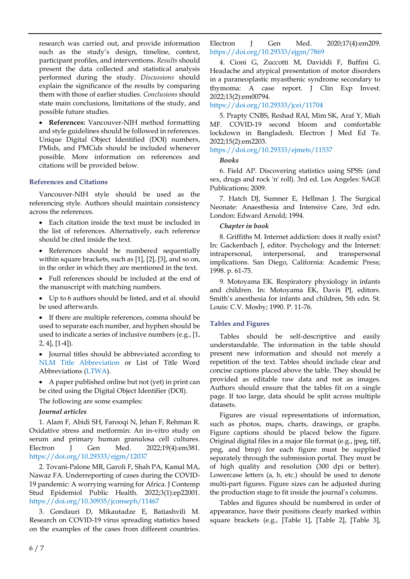research was carried out, and provide information such as the study's design, timeline, context, participant profiles, and interventions. *Results* should present the data collected and statistical analysis performed during the study. *Discussions* should explain the significance of the results by comparing them with those of earlier studies. *Conclusions* should state main conclusions, limitations of the study, and possible future studies.

• **References:** Vancouver-NIH method formatting and style guidelines should be followed in references. Unique Digital Object Identified (DOI) numbers, PMids, and PMCids should be included whenever possible. More information on references and citations will be provided below.

#### **References and Citations**

Vancouver-NIH style should be used as the referencing style. Authors should maintain consistency across the references.

- Each citation inside the text must be included in the list of references. Alternatively, each reference should be cited inside the text.
- References should be numbered sequentially within square brackets, such as [1], [2], [3], and so on, in the order in which they are mentioned in the text.
- Full references should be included at the end of the manuscript with matching numbers.
- Up to 6 authors should be listed, and et al. should be used afterwards.

• If there are multiple references, comma should be used to separate each number, and hyphen should be used to indicate a series of inclusive numbers (e.g., [1,  $2, 4$ , [1-4]).

• Journal titles should be abbreviated according to [NLM Title Abbreviation](https://www.ncbi.nlm.nih.gov/nlmcatalog) or List of Title Word Abbreviations [\(LTWA\)](https://www.issn.org/services/online-services/access-to-the-ltwa/).

• A paper published online but not (yet) in print can be cited using the Digital Object Identifier (DOI).

The following are some examples:

# *Journal articles*

1. Alam F, Abidi SH, Farooqi N, Jehan F, Rehman R. Oxidative stress and metformin: An in-vitro study on serum and primary human granulosa cell cultures. Electron J Gen Med. 2022;19(4):em381. <https://doi.org/10.29333/ejgm/12037>

2. Tovani-Palone MR, Garoli F, Shah PA, Kamal MA, Nawaz FA. Underreporting of cases during the COVID-19 pandemic: A worrying warning for Africa. J Contemp Stud Epidemiol Public Health. 2022;3(1):ep22001. <https://doi.org/10.30935/jconseph/11467>

3. Gondauri D, Mikautadze E, Batiashvili M. Research on COVID-19 virus spreading statistics based on the examples of the cases from different countries.

Electron J Gen Med. 2020;17(4):em209. <https://doi.org/10.29333/ejgm/7869>

4. Cioni G, Zuccotti M, Daviddi F, Buffini G. Headache and atypical presentation of motor disorders in a paraneoplastic myasthenic syndrome secondary to thymoma: A case report. J Clin Exp Invest. 2022;13(2):em00794.

<https://doi.org/10.29333/jcei/11704>

5. Prapty CNBS, Reshad RAI, Mim SK, Araf Y, Miah MF. COVID-19 second bloom and comfortable lockdown in Bangladesh. Electron J Med Ed Te. 2022;15(2):em2203.

#### <https://doi.org/10.29333/ejmets/11537>

#### *Books*

6. Field AP. Discovering statistics using SPSS: (and sex, drugs and rock 'n' roll). 3rd ed. Los Angeles: SAGE Publications; 2009.

7. Hatch DJ, Sumner E, Hellman J. The Surgical Neonate: Anaesthesia and Intensive Care, 3rd edn. London: Edward Arnold; 1994.

#### *Chapter in book*

8. Griffiths M. Internet addiction: does it really exist? In: Gackenbach J, editor. Psychology and the Internet: intrapersonal, interpersonal, and transpersonal implications. San Diego, California: Academic Press; 1998. p. 61-75.

9. Motoyama EK. Respiratory physiology in infants and children. In: Motoyama EK, Davis PJ, editors. Smith's anesthesia for infants and children, 5th edn. St. Louis: C.V. Mosby; 1990. P. 11-76.

#### **Tables and Figures**

Tables should be self-descriptive and easily understandable. The information in the table should present new information and should not merely a repetition of the text. Tables should include clear and concise captions placed above the table. They should be provided as editable raw data and not as images. Authors should ensure that the tables fit on a single page. If too large, data should be split across multiple datasets.

Figures are visual representations of information, such as photos, maps, charts, drawings, or graphs. Figure captions should be placed below the figure. Original digital files in a major file format (e.g., jpeg, tiff, png, and bmp) for each figure must be supplied separately through the submission portal. They must be of high quality and resolution (300 dpi or better). Lowercase letters (a, b, etc.) should be used to denote multi-part figures. Figure sizes can be adjusted during the production stage to fit inside the journal's columns.

Tables and figures should be numbered in order of appearance, have their positions clearly marked within square brackets (e.g., [Table 1], [Table 2], [Table 3],